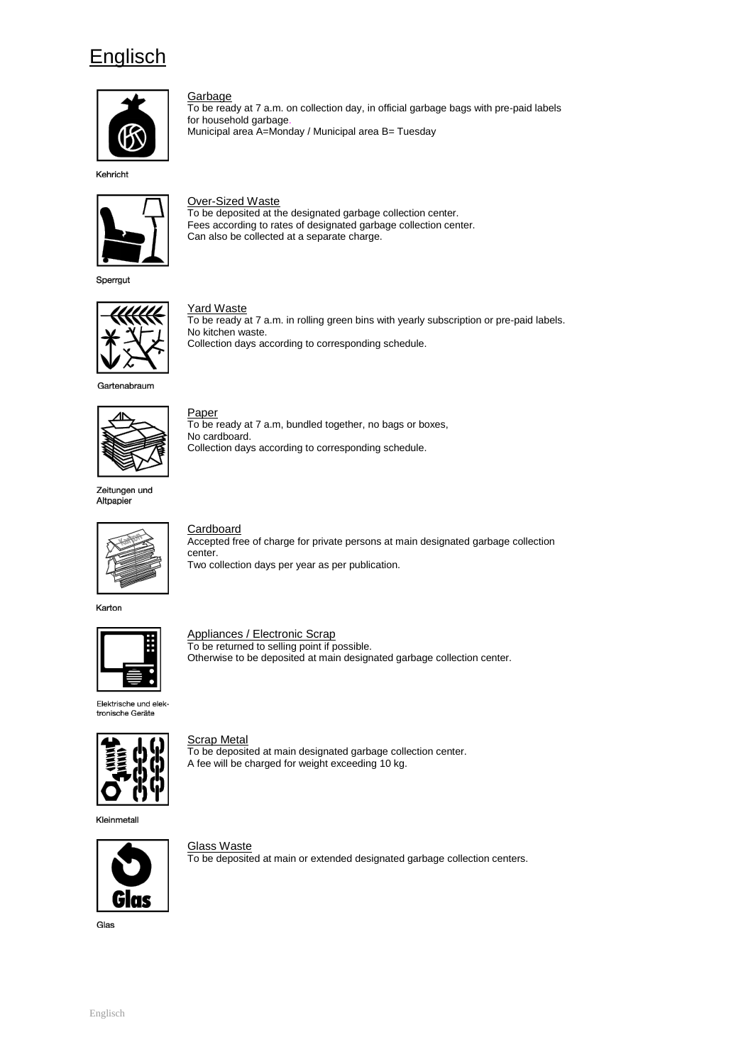## Englisch

## **Garbage**



To be ready at 7 a.m. on collection day, in official garbage bags with pre-paid labels for household garbage. Municipal area A=Monday / Municipal area B= Tuesday



## Over-Sized Waste

To be deposited at the designated garbage collection center. Fees according to rates of designated garbage collection center. Can also be collected at a separate charge.

Sperrgut

Kehricht



Yard Waste To be ready at 7 a.m. in rolling green bins with yearly subscription or pre-paid labels. No kitchen waste. Collection days according to corresponding schedule.

Gartenabraum



**Paper** To be ready at 7 a.m, bundled together, no bags or boxes, No cardboard. Collection days according to corresponding schedule.

Zeitungen und Altpapier



**Cardboard** Accepted free of charge for private persons at main designated garbage collection center. Two collection days per year as per publication.

Karton



Appliances / Electronic Scrap To be returned to selling point if possible. Otherwise to be deposited at main designated garbage collection center.

Flektrische und elektronische Geräte



**Scrap Metal** To be deposited at main designated garbage collection center. A fee will be charged for weight exceeding 10 kg.

Kleinmetall



Glass Waste To be deposited at main or extended designated garbage collection centers.

Glas